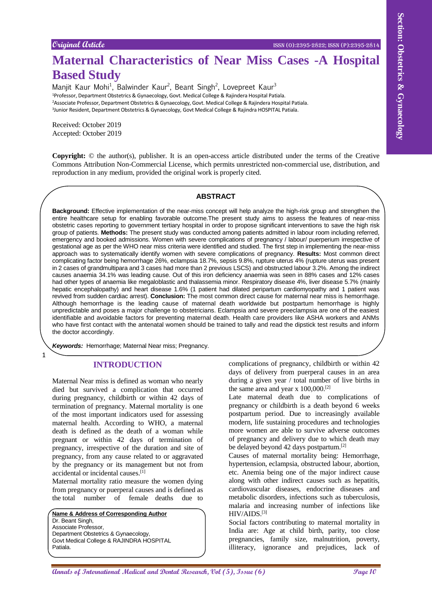# **Maternal Characteristics of Near Miss Cases -A Hospital Based Study**

Manjit Kaur Mohi<sup>1</sup>, Balwinder Kaur<sup>2</sup>, Beant Singh<sup>2</sup>, Lovepreet Kaur<sup>3</sup> Professor, Department Obstetrics & Gynaecology, Govt. Medical College & Rajindera Hospital Patiala. Associate Professor, Department Obstetrics & Gynaecology, Govt. Medical College & Rajindera Hospital Patiala. Junior Resident, Department Obstetrics & Gynaecology, Govt Medical College & Rajindra HOSPITAL Patiala.

Received: October 2019 Accepted: October 2019

**Copyright:** © the author(s), publisher. It is an open-access article distributed under the terms of the Creative Commons Attribution Non-Commercial License, which permits unrestricted non-commercial use, distribution, and reproduction in any medium, provided the original work is properly cited.

#### **ABSTRACT**

Couper of Control Control Control Control Control Control Control Control Control Control Control Control Control Control Control Control Control Control Control Control Control Control Control Control Control Control Con **Background:** Effective implementation of the near-miss concept will help analyze the high-risk group and strengthen the entire healthcare setup for enabling favorable outcome.The present study aims to assess the features of near-miss obstetric cases reporting to government tertiary hospital in order to propose significant interventions to save the high risk group of patients. **Methods:** The present study was conducted among patients admitted in labour room including referred, emergency and booked admissions. Women with severe complications of pregnancy / labour/ puerperium irrespective of gestational age as per the WHO near miss criteria were identified and studied. The first step in implementing the near-miss approach was to systematically identify women with severe complications of pregnancy. **Results:** Most common direct complicating factor being hemorrhage 26%, eclampsia 18.7%, sepsis 9.8%, rupture uterus 4% (rupture uterus was present in 2 cases of grandmultipara and 3 cases had more than 2 previous LSCS) and obstructed labour 3.2%. Among the indirect causes anaemia 34.1% was leading cause. Out of this iron deficiency anaemia was seen in 88% cases and 12% cases had other types of anaemia like megaloblastic and thalassemia minor. Respiratory disease 4%, liver disease 5.7% (mainly hepatic encephalopathy) and heart disease 1.6% (1 patient had dilated peripartum cardiomyopathy and 1 patient was revived from sudden cardiac arrest). **Conclusion:** The most common direct cause for maternal near miss is hemorrhage. Although hemorrhage is the leading cause of maternal death worldwide but postpartum hemorrhage is highly unpredictable and poses a major challenge to obstetricians. Eclampsia and severe preeclampsia are one of the easiest identifiable and avoidable factors for preventing maternal death. Health care providers like ASHA workers and ANMs who have first contact with the antenatal women should be trained to tally and read the dipstick test results and inform the doctor accordingly.

*Keywords:* Hemorrhage; Maternal Near miss; Pregnancy.

#### **INTRODUCTION**

1

Maternal Near miss is defined as woman who nearly died but survived a complication that occurred during pregnancy, childbirth or within 42 days of termination of pregnancy. Maternal mortality is one of the most important indicators used for assessing maternal health. According to WHO, a maternal death is defined as the death of a woman while pregnant or within 42 days of termination of pregnancy, irrespective of the duration and site of pregnancy, from any cause related to or aggravated by the pregnancy or its management but not from accidental or incidental causes.[1]

Maternal mortality ratio measure the women dying from pregnancy or puerperal causes and is defined as the total number of female deaths due to

**Name & Address of Corresponding Author** Dr. Beant Singh, Associate Professor, Department Obstetrics & Gynaecology, Govt Medical College & RAJINDRA HOSPITAL Patiala.

complications of pregnancy, childbirth or within 42 days of delivery from puerperal causes in an area during a given year / total number of live births in the same area and year x  $100,000$ .<sup>[2]</sup>

Late maternal death due to complications of pregnancy or childbirth is a death beyond 6 weeks postpartum period. Due to increasingly available modern, life sustaining procedures and technologies more women are able to survive adverse outcomes of pregnancy and delivery due to which death may be delayed beyond 42 days postpartum.<sup>[2]</sup>

Causes of maternal mortality being: Hemorrhage, hypertension, eclampsia, obstructed labour, abortion, etc. Anemia being one of the major indirect cause along with other indirect causes such as hepatitis, cardiovascular diseases, endocrine diseases and metabolic disorders, infections such as tuberculosis, malaria and increasing number of infections like HIV/AIDS.[3]

Social factors contributing to maternal mortality in India are: Age at child birth, parity, too close pregnancies, family size, malnutrition, poverty, illiteracy, ignorance and prejudices, lack of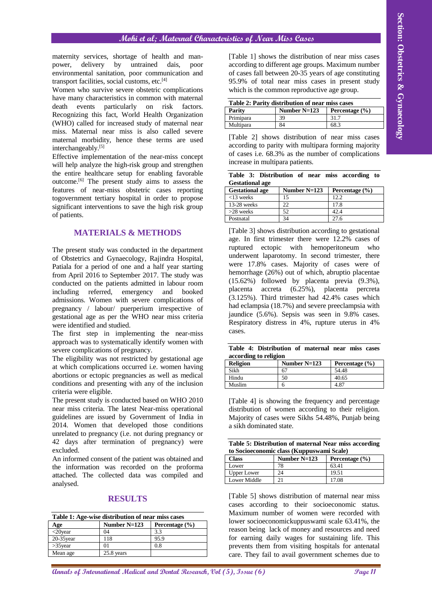## **Mohi et al; Maternal Characteristics of Near Miss Cases**

maternity services, shortage of health and manpower, delivery by untrained dais, poor environmental sanitation, poor communication and transport facilities, social customs, etc.[4]

Women who survive severe obstetric complications have many characteristics in common with maternal death events particularly on risk factors. Recognizing this fact, World Health Organization (WHO) called for increased study of maternal near miss. Maternal near miss is also called severe maternal morbidity, hence these terms are used interchangeably.[5]

Effective implementation of the near-miss concept will help analyze the high-risk group and strengthen the entire healthcare setup for enabling favorable outcome.[6] The present study aims to assess the features of near-miss obstetric cases reporting togovernment tertiary hospital in order to propose significant interventions to save the high risk group of patients.

### **MATERIALS & METHODS**

The present study was conducted in the department of Obstetrics and Gynaecology, Rajindra Hospital, Patiala for a period of one and a half year starting from April 2016 to September 2017. The study was conducted on the patients admitted in labour room including referred, emergency and booked admissions. Women with severe complications of pregnancy / labour/ puerperium irrespective of gestational age as per the WHO near miss criteria were identified and studied.

The first step in implementing the near-miss approach was to systematically identify women with severe complications of pregnancy.

The eligibility was not restricted by gestational age at which complications occurred i.e. women having abortions or ectopic pregnancies as well as medical conditions and presenting with any of the inclusion criteria were eligible.

The present study is conducted based on WHO 2010 near miss criteria. The latest Near-miss operational guidelines are issued by Government of India in 2014. Women that developed those conditions unrelated to pregnancy (i.e. not during pregnancy or 42 days after termination of pregnancy) were excluded.

An informed consent of the patient was obtained and the information was recorded on the proforma attached. The collected data was compiled and analysed.

#### **RESULTS**

| Table 1: Age-wise distribution of near miss cases |                                  |      |  |  |  |
|---------------------------------------------------|----------------------------------|------|--|--|--|
| Age                                               | Number $N=123$<br>Percentage (%) |      |  |  |  |
| $\langle 20 \rangle$ year                         | 04                               | 33   |  |  |  |
| $20-35$ year                                      | 118                              | 95.9 |  |  |  |
| $>35$ year                                        | 01                               | 0.8  |  |  |  |
| Mean age                                          | 25.8 years                       |      |  |  |  |

[Table 1] shows the distribution of near miss cases according to different age groups. Maximum number of cases fall between 20-35 years of age constituting 95.9% of total near miss cases in present study which is the common reproductive age group.

| Table 2: Parity distribution of near miss cases |                |                    |  |  |  |
|-------------------------------------------------|----------------|--------------------|--|--|--|
| Parity                                          | Number $N=123$ | Percentage $(\% )$ |  |  |  |
| Primipara                                       | 39             | 31.7               |  |  |  |
| Multipara                                       | 84             | 68.3               |  |  |  |

[Table 2] shows distribution of near miss cases according to parity with multipara forming majority of cases i.e. 68.3% as the number of complications increase in multipara patients.

|                        | Table 3: Distribution of near miss according to |  |  |  |
|------------------------|-------------------------------------------------|--|--|--|
| <b>Gestational age</b> |                                                 |  |  |  |

| <b>Gestational age</b> | Number $N=123$ | Percentage $(\% )$ |
|------------------------|----------------|--------------------|
| $<$ 13 weeks           | 15             | 12.2               |
| $13-28$ weeks          | つつ             | 17.8               |
| $>28$ weeks            | 52             | 42.4               |
| Postnatal              | 34             | 27.6               |

A **Andre Controller Controller Controller Controller Controller Controller Controller Controller Controller Controller Controller Controller Controller Controller Controller Controller Controller Controller Controller Con** [Table 3] shows distribution according to gestational age. In first trimester there were 12.2% cases of ruptured ectopic with hemoperitoneum who underwent laparotomy. In second trimester, there were 17.8% cases. Majority of cases were of hemorrhage (26%) out of which, abruptio placentae (15.62%) followed by placenta previa (9.3%), placenta accreta (6.25%), placenta percreta  $(3.125\%)$ . Third trimester had  $42.4\%$  cases which had eclampsia (18.7%) and severe preeclampsia with jaundice (5.6%). Sepsis was seen in 9.8% cases. Respiratory distress in 4%, rupture uterus in 4% cases.

| according to religion | Table 4: Distribution of maternal near miss cases |  |  |  |
|-----------------------|---------------------------------------------------|--|--|--|
|                       |                                                   |  |  |  |

| <b>Religion</b> | Number $N=123$ | Percentage $(\% )$ |
|-----------------|----------------|--------------------|
| Sikh            | 67             | 54.48              |
| Hindu           | 50             | 40.65              |
| Muslim          |                | 4.87               |

[Table 4] is showing the frequency and percentage distribution of women according to their religion. Majority of cases were Sikhs 54.48%, Punjab being a sikh dominated state.

| Table 5: Distribution of maternal Near miss according |  |  |
|-------------------------------------------------------|--|--|
| to Socioeconomic class (Kuppuswami Scale)             |  |  |

| Class              | Number $N=123$ | Percentage $(\% )$ |
|--------------------|----------------|--------------------|
| Lower              | 78             | 63.41              |
| <b>Upper Lower</b> | 24             | 19.51              |
| Lower Middle       |                | 17.08              |

[Table 5] shows distribution of maternal near miss cases according to their socioeconomic status. Maximum number of women were recorded with lower socioeconomickuppuswami scale 63.41%, the reason being lack of money and resources and need for earning daily wages for sustaining life. This prevents them from visiting hospitals for antenatal care. They fail to avail government schemes due to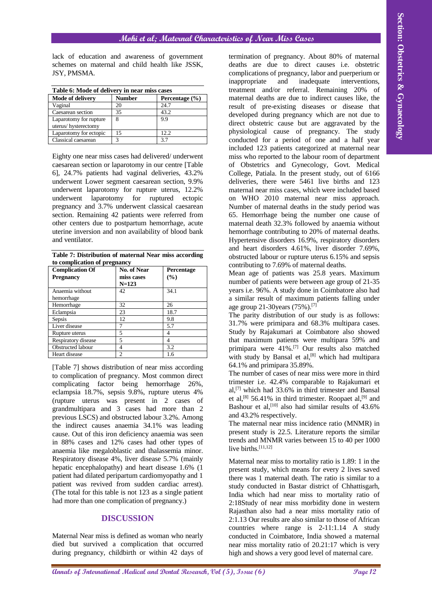lack of education and awareness of government schemes on maternal and child health like JSSK, JSY, PMSMA.

| Table 6: Mode of delivery in near miss cases |               |                    |  |  |  |
|----------------------------------------------|---------------|--------------------|--|--|--|
| <b>Mode of delivery</b>                      | <b>Number</b> | Percentage $(\% )$ |  |  |  |
| Vaginal                                      | 20            | 24.7               |  |  |  |
| Caesarean section                            | 35            | 43.2               |  |  |  |
| Laparotomy for rupture                       | 8             | 9.9                |  |  |  |
| uterus/hysterectomy                          |               |                    |  |  |  |
| Laparotomy for ectopic                       | 15            | 12.2.              |  |  |  |
| Classical caesarean                          | 3             | 37                 |  |  |  |

Eighty one near miss cases had delivered/ underwent caesarean section or laparotomy in our centre [Table 6], 24.7% patients had vaginal deliveries, 43.2% underwent Lower segment caesarean section, 9.9% underwent laparotomy for rupture uterus, 12.2% underwent laparotomy for ruptured ectopic pregnancy and 3.7% underwent classical caesarean section. Remaining 42 patients were referred from other centers due to postpartum hemorrhage, acute uterine inversion and non availability of blood bank and ventilator.

**Table 7: Distribution of maternal Near miss according to complication of pregnancy**

| <b>Complication Of</b> | <b>No. of Near</b> | Percentage |
|------------------------|--------------------|------------|
| <b>Pregnancy</b>       | miss cases         | (%)        |
|                        | $N = 123$          |            |
| Anaemia without        | 42                 | 34.1       |
| hemorrhage             |                    |            |
| Hemorrhage             | 32                 | 26         |
| Eclampsia              | 23                 | 18.7       |
| Sepsis                 | 12                 | 9.8        |
| Liver disease          |                    | 5.7        |
| Rupture uterus         | 5                  | 4          |
| Respiratory disease    | 5                  | 4          |
| Obstructed labour      | 4                  | 3.2        |
| Heart disease          | 2                  | 1.6        |

[Table 7] shows distribution of near miss according to complication of pregnancy. Most common direct complicating factor being hemorrhage 26%, eclampsia 18.7%, sepsis 9.8%, rupture uterus 4% (rupture uterus was present in 2 cases of grandmultipara and 3 cases had more than 2 previous LSCS) and obstructed labour 3.2%. Among the indirect causes anaemia 34.1% was leading cause. Out of this iron deficiency anaemia was seen in 88% cases and 12% cases had other types of anaemia like megaloblastic and thalassemia minor. Respiratory disease 4%, liver disease 5.7% (mainly hepatic encephalopathy) and heart disease 1.6% (1 patient had dilated peripartum cardiomyopathy and 1 patient was revived from sudden cardiac arrest). (The total for this table is not 123 as a single patient had more than one complication of pregnancy.)

## **DISCUSSION**

Maternal Near miss is defined as woman who nearly died but survived a complication that occurred during pregnancy, childbirth or within 42 days of

**And the international of Control of Control of Control of Control of Control of Control of Control of Control of Control of Control of Control of Control of Control of Control of Control of Control of Control of Control** termination of pregnancy. About 80% of maternal deaths are due to direct causes i.e. obstetric complications of pregnancy, labor and puerperium or inappropriate and inadequate interventions, treatment and/or referral. Remaining 20% of maternal deaths are due to indirect causes like, the result of pre-existing diseases or disease that developed during pregnancy which are not due to direct obstetric cause but are aggravated by the physiological cause of pregnancy. The study conducted for a period of one and a half year included 123 patients categorized at maternal near miss who reported to the labour room of department of Obstetrics and Gynecology, Govt. Medical College, Patiala. In the present study, out of 6166 deliveries, there were 5461 live births and 123 maternal near miss cases, which were included based on WHO 2010 maternal near miss approach. Number of maternal deaths in the study period was 65. Hemorrhage being the number one cause of maternal death 32.3% followed by anaemia without hemorrhage contributing to 20% of maternal deaths. Hypertensive disorders 16.9%, respiratory disorders and heart disorders 4.61%, liver disorder 7.69%, obstructed labour or rupture uterus 6.15% and sepsis contributing to 7.69% of maternal deaths.

Mean age of patients was 25.8 years. Maximum number of patients were between age group of 21-35 years i.e. 96%. A study done in Coimbatore also had a similar result of maximum patients falling under age group 21-30 years  $(75\%)$ .<sup>[7]</sup>

The parity distribution of our study is as follows: 31.7% were primipara and 68.3% multipara cases. Study by Rajakumari at Coimbatore also showed that maximum patients were multipara 59% and primipara were 41%.<sup>[7]</sup> Our results also matched with study by Bansal et  $al$ ,<sup>[8]</sup> which had multipara 64.1% and primipara 35.89%.

The number of cases of near miss were more in third trimester i.e. 42.4% comparable to Rajakumari et al, [7] which had 33.6% in third trimester and Bansal et al,<sup>[8]</sup> 56.41% in third trimester. Roopaet al,<sup>[9]</sup> and Bashour et al,<sup>[10]</sup> also had similar results of  $43.6\%$ and 43.2% respectively.

The maternal near miss incidence ratio (MNMR) in present study is 22.5. Literature reports the similar trends and MNMR varies between 15 to 40 per 1000 live births.<sup>[11,12]</sup>

Maternal near miss to mortality ratio is 1.89: 1 in the present study, which means for every 2 lives saved there was 1 maternal death. The ratio is similar to a study conducted in Bastar district of Chhattisgarh, India which had near miss to mortality ratio of 2:18Study of near miss morbidity done in western Rajasthan also had a near miss mortality ratio of 2:1.13 Our results are also similar to those of African countries where range is 2-11:1.14 A study conducted in Coimbatore, India showed a maternal near miss mortality ratio of 20.21:17 which is very high and shows a very good level of maternal care.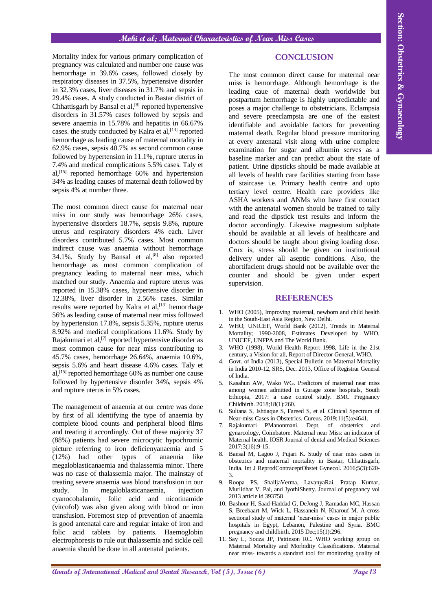Mortality index for various primary complication of pregnancy was calculated and number one cause was hemorrhage in 39.6% cases, followed closely by respiratory diseases in 37.5%, hypertensive disorder in 32.3% cases, liver diseases in 31.7% and sepsis in 29.4% cases. A study conducted in Bastar district of Chhattisgarh by Bansal et al,<sup>[8]</sup> reported hypertensive disorders in 31.57% cases followed by sepsis and severe anaemia in 15.78% and hepatitis in 66.67% cases. the study conducted by Kalra et al,<sup>[13]</sup> reported hemorrhage as leading cause of maternal mortality in 62.9% cases, sepsis 40.7% as second common cause followed by hypertension in 11.1%, rupture uterus in 7.4% and medical complications 5.5% cases. Taly et al, [15] reported hemorrhage 60% and hypertension 34% as leading causes of maternal death followed by sepsis 4% at number three.

The most common direct cause for maternal near miss in our study was hemorrhage 26% cases, hypertensive disorders 18.7%, sepsis 9.8%, rupture uterus and respiratory disorders 4% each. Liver disorders contributed 5.7% cases. Most common indirect cause was anaemia without hemorrhage  $34.1\%$ . Study by Bansal et al,<sup>[8]</sup> also reported hemorrhage as most common complication of pregnancy leading to maternal near miss, which matched our study. Anaemia and rupture uterus was reported in 15.38% cases, hypertensive disorder in 12.38%, liver disorder in 2.56% cases. Similar results were reported by Kalra et al,  $[13]$  hemorrhage 56% as leading cause of maternal near miss followed by hypertension 17.8%, sepsis 5.35%, rupture uterus 8.92% and medical complications 11.6%. Study by Rajakumari et al,<sup>[7]</sup> reported hypertensive disorder as most common cause for near miss contributing to 45.7% cases, hemorrhage 26.64%, anaemia 10.6%, sepsis 5.6% and heart disease 4.6% cases. Taly et al, [15] reported hemorrhage 60% as number one cause followed by hypertensive disorder 34%, sepsis 4% and rupture uterus in 5% cases.

The management of anaemia at our centre was done by first of all identifying the type of anaemia by complete blood counts and peripheral blood films and treating it accordingly. Out of these majority 37 (88%) patients had severe microcytic hypochromic picture referring to iron deficienyanaemia and 5 (12%) had other types of anaemia like megaloblasticanaemia and thalassemia minor. There was no case of thalassemia major. The mainstay of treating severe anaemia was blood transfusion in our study. In megaloblasticanaemia, injection cyanocobalamin, folic acid and nicotinamide (vitcofol) was also given along with blood or iron transfusion. Foremost step of prevention of anaemia is good antenatal care and regular intake of iron and folic acid tablets by patients. Haemoglobin electrophoresis to rule out thalassemia and sickle cell anaemia should be done in all antenatal patients.

## **CONCLUSION**

**Analis isolational effectional effectional effections of CONCLUSION<br>
<b>Annals because the section and the section and the section and Dental Annals and the section and the section and the section and the section and the s** The most common direct cause for maternal near miss is hemorrhage. Although hemorrhage is the leading caue of maternal death worldwide but postpartum hemorrhage is highly unpredictable and poses a major challenge to obstetricians. Eclampsia and severe preeclampsia are one of the easiest identifiable and avoidable factors for preventing maternal death. Regular blood pressure monitoring at every antenatal visit along with urine complete examination for sugar and albumin serves as a baseline marker and can predict about the state of patient. Urine dipsticks should be made available at all levels of health care facilities starting from base of staircase i.e. Primary health centre and upto tertiary level centre. Health care providers like ASHA workers and ANMs who have first contact with the antenatal women should be trained to tally and read the dipstick test results and inform the doctor accordingly. Likewise magnesium sulphate should be available at all levels of healthcare and doctors should be taught about giving loading dose. Crux is, stress should be given on institutional delivery under all aseptic conditions. Also, the abortifacient drugs should not be available over the counter and should be given under expert supervision.

#### **REFERENCES**

- 1. WHO (2005), Improving maternal, newborn and child health in the South-East Asia Region, New Delhi.
- WHO, UNICEF, World Bank (2012), Trends in Maternal Mortality; 1990-2008, Estimates Developed by WHO, UNICEF, UNFPA and The World Bank.
- 3. WHO (1998), World Health Report 1998, Life in the 21st century, a Vision for all, Report of Director General, WHO.
- 4. Govt. of India (2013), Special Bulletin on Maternal Mortality in India 2010-12, SRS, Dec. 2013, Office of Registrar General of India.
- 5. Kasahun AW, Wako WG. Predictors of maternal near miss among women admitted in Gurage zone hospitals, South Ethiopia, 2017: a case control study. BMC Pregnancy Childbirth. 2018;18(1):260.
- 6. Sultana S, Ishtiaque S, Fareed S, et al. Clinical Spectrum of Near-miss Cases in Obstetrics. Cureus. 2019;11(5):e4641.
- 7. Rajakumari PManonmani. Dept. of obstetrics and gynarcology, Coimbatore. Maternal near Miss: an indicator of Maternal health. IOSR Journal of dental and Medical Sciences 2017;3(16):9-15.
- 8. Bansal M, Lagoo J, Pujari K. Study of near miss cases in obstetrics and maternal mortality in Bastar, Chhattisgarh, India. Int J ReprodContraceptObstet Gynecol. 2016;5(3):620- 3.
- 9. Roopa PS, ShailjaVerma, LavanyaRai, Pratap Kumar, Murlidhar V. Pai, and JyothiShetty. Journal of pregnancy vol 2013 article id 393758
- 10. Bashour H, Saad-Haddad G, DeJong J, Ramadan MC, Hassan S, Breebaart M, Wick L, Hassanein N, Kharouf M. A cross sectional study of maternal 'near-miss' cases in major public hospitals in Egypt, Lebanon, Palestine and Syria. BMC pregnancy and childbirth. 2015 Dec;15(1):296.
- 11. Say L, Souza JP, Pattinson RC. WHO working group on Maternal Mortality and Morbidity Classifications. Maternal near miss- towards a standard tool for monitoring quality of